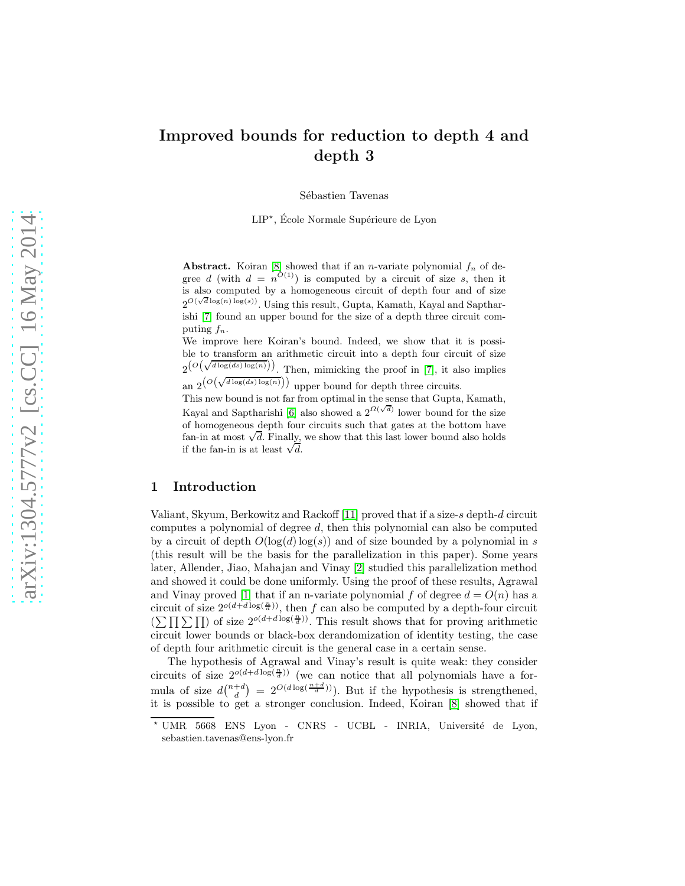# Improved bounds for reduction to depth 4 and depth 3

Sébastien Tavenas

LIP<sup>\*</sup>, École Normale Supérieure de Lyon

Abstract. Koiran [\[8\]](#page-14-0) showed that if an *n*-variate polynomial  $f_n$  of degree d (with  $d = n^{O(1)}$ ) is computed by a circuit of size s, then it is also computed by a homogeneous circuit of depth four and of size  $2^{O(\sqrt{d}\log(n)\log(s))}$ . Using this result, Gupta, Kamath, Kayal and Saptharishi [\[7\]](#page-14-1) found an upper bound for the size of a depth three circuit computing  $f_n$ .

We improve here Koiran's bound. Indeed, we show that it is possible to transform an arithmetic circuit into a depth four circuit of size  $2^{(O(\sqrt{d \log(d s) \log(n)}))}$ . Then, mimicking the proof in [\[7\]](#page-14-1), it also implies

an  $2^{(O(\sqrt{d \log(d s) \log(n)}))}$  upper bound for depth three circuits.

This new bound is not far from optimal in the sense that Gupta, Kamath, Kayal and Saptharishi [\[6\]](#page-13-0) also showed a  $2^{\Omega(\sqrt{d})}$  lower bound for the size of homogeneous depth four circuits such that gates at the bottom have fan-in at most  $\sqrt{d}$ . Finally, we show that this last lower bound also holds if the fan-in is at least  $\sqrt{d}$ .

#### 1 Introduction

Valiant, Skyum, Berkowitz and Rackoff [\[11\]](#page-14-2) proved that if a size-s depth-d circuit computes a polynomial of degree d, then this polynomial can also be computed by a circuit of depth  $O(\log(d) \log(s))$  and of size bounded by a polynomial in s (this result will be the basis for the parallelization in this paper). Some years later, Allender, Jiao, Mahajan and Vinay [\[2\]](#page-13-1) studied this parallelization method and showed it could be done uniformly. Using the proof of these results, Agrawal and Vinay proved [\[1\]](#page-13-2) that if an n-variate polynomial f of degree  $d = O(n)$  has a circuit of size  $2^{o(d+d \log(\frac{n}{d}))}$ , then f can also be computed by a depth-four circuit  $(\sum \prod \sum \prod)$  of size  $2^{o(d+d \log(\frac{n}{d}))}$ . This result shows that for proving arithmetic circuit lower bounds or black-box derandomization of identity testing, the case of depth four arithmetic circuit is the general case in a certain sense.

The hypothesis of Agrawal and Vinay's result is quite weak: they consider circuits of size  $2^{o(d+d \log(\frac{n}{d}))}$  (we can notice that all polynomials have a formula of size  $d\binom{n+d}{d} = 2^{O(d \log(\frac{n+d}{d}))}$ . But if the hypothesis is strengthened, it is possible to get a stronger conclusion. Indeed, Koiran [\[8\]](#page-14-0) showed that if

<sup>\*</sup> UMR 5668 ENS Lyon - CNRS - UCBL - INRIA, Université de Lyon, sebastien.tavenas@ens-lyon.fr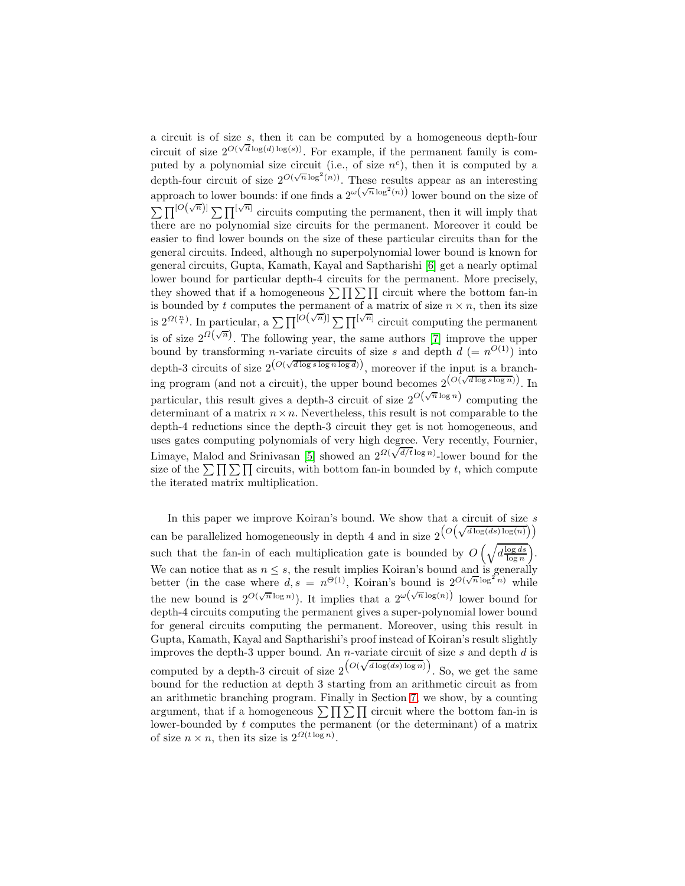a circuit is of size s, then it can be computed by a homogeneous depth-four circuit of size  $2^{O(\sqrt{d}\log(d)\log(s))}$ . For example, if the permanent family is computed by a polynomial size circuit (i.e., of size  $n^c$ ), then it is computed by a depth-four circuit of size  $2^{O(\sqrt{n}\log^2(n))}$ . These results appear as an interesting approach to lower bounds: if one finds a  $2^{\omega(\sqrt{n}\log^2(n))}$  lower bound on the size of  $\sum \prod^{[O(\sqrt{n})]} \sum \prod^{[\sqrt{n}]}$  circuits computing the permanent, then it will imply that there are no polynomial size circuits for the permanent. Moreover it could be easier to find lower bounds on the size of these particular circuits than for the general circuits. Indeed, although no superpolynomial lower bound is known for general circuits, Gupta, Kamath, Kayal and Saptharishi [\[6\]](#page-13-0) get a nearly optimal lower bound for particular depth-4 circuits for the permanent. More precisely, they showed that if a homogeneous  $\sum \prod \sum \prod$  circuit where the bottom fan-in is bounded by t computes the permanent of a matrix of size  $n \times n$ , then its size is  $2^{Q(\frac{n}{t})}$ . In particular, a  $\sum \prod^{[O(\sqrt{n})]} \sum \prod^{[\sqrt{n}]}$  circuit computing the permanent is of size  $2^{\Omega(\sqrt{n})}$ . The following year, the same authors [\[7\]](#page-14-1) improve the upper bound by transforming *n*-variate circuits of size s and depth  $d = n^{O(1)}$  into depth-3 circuits of size  $2^{\left(O(\sqrt{d \log s \log n \log d})\right)}$ , moreover if the input is a branching program (and not a circuit), the upper bound becomes  $2^{(O(\sqrt{d \log s \log n}))}$ . In particular, this result gives a depth-3 circuit of size  $2^{O(\sqrt{n}\log n)}$  computing the determinant of a matrix  $n \times n$ . Nevertheless, this result is not comparable to the depth-4 reductions since the depth-3 circuit they get is not homogeneous, and uses gates computing polynomials of very high degree. Very recently, Fournier, Limaye, Malod and Srinivasan [\[5\]](#page-13-3) showed an  $2^{O(\sqrt{d/t} \log n)}$ -lower bound for the size of the  $\sum \prod \sum \prod$  circuits, with bottom fan-in bounded by t, which compute the iterated matrix multiplication.

In this paper we improve Koiran's bound. We show that a circuit of size  $s$ can be parallelized homogeneously in depth 4 and in size  $2^{\left(O\left(\sqrt{d \log(ds) \log(n)}\right)\right)}$ such that the fan-in of each multiplication gate is bounded by  $O\left(\sqrt{d\frac{\log ds}{\log n}}\right)$ . We can notice that as  $n \leq s$ , the result implies Koiran's bound and is generally better (in the case where  $d, s = n^{\Theta(1)}$ , Koiran's bound is  $2^{O(\sqrt{n}\log^2 n)}$  while the new bound is  $2^{O(\sqrt{n}\log n)}$ . It implies that a  $2^{\omega(\sqrt{n}\log(n))}$  lower bound for depth-4 circuits computing the permanent gives a super-polynomial lower bound for general circuits computing the permanent. Moreover, using this result in Gupta, Kamath, Kayal and Saptharishi's proof instead of Koiran's result slightly improves the depth-3 upper bound. An  $n$ -variate circuit of size  $s$  and depth  $d$  is computed by a depth-3 circuit of size  $2\left(\frac{O(\sqrt{d \log(d s) \log n})}{\sqrt{d \log(d s) \log n}}\right)$ . So, we get the same bound for the reduction at depth 3 starting from an arithmetic circuit as from an arithmetic branching program. Finally in Section [7,](#page-11-0) we show, by a counting argument, that if a homogeneous  $\sum \prod \sum \Gamma$  circuit where the bottom fan-in is lower-bounded by t computes the permanent (or the determinant) of a matrix of size  $n \times n$ , then its size is  $2^{\Omega(t \log n)}$ .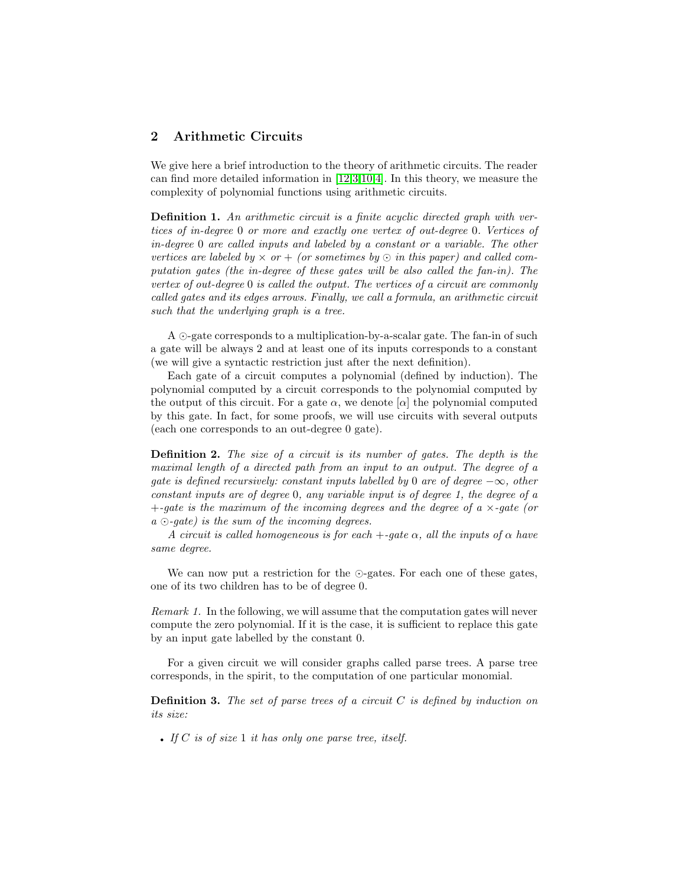## 2 Arithmetic Circuits

We give here a brief introduction to the theory of arithmetic circuits. The reader can find more detailed information in [\[12](#page-14-3)[,3](#page-13-4)[,10,](#page-14-4)[4\]](#page-13-5). In this theory, we measure the complexity of polynomial functions using arithmetic circuits.

Definition 1. An arithmetic circuit is a finite acyclic directed graph with vertices of in-degree 0 or more and exactly one vertex of out-degree 0. Vertices of in-degree 0 are called inputs and labeled by a constant or a variable. The other vertices are labeled by  $\times$  or  $+$  (or sometimes by  $\odot$  in this paper) and called computation gates (the in-degree of these gates will be also called the fan-in). The vertex of out-degree 0 is called the output. The vertices of a circuit are commonly called gates and its edges arrows. Finally, we call a formula, an arithmetic circuit such that the underlying graph is a tree.

A ⊙-gate corresponds to a multiplication-by-a-scalar gate. The fan-in of such a gate will be always 2 and at least one of its inputs corresponds to a constant (we will give a syntactic restriction just after the next definition).

Each gate of a circuit computes a polynomial (defined by induction). The polynomial computed by a circuit corresponds to the polynomial computed by the output of this circuit. For a gate  $\alpha$ , we denote  $[\alpha]$  the polynomial computed by this gate. In fact, for some proofs, we will use circuits with several outputs (each one corresponds to an out-degree 0 gate).

**Definition 2.** The size of a circuit is its number of gates. The depth is the maximal length of a directed path from an input to an output. The degree of a qate is defined recursively: constant inputs labelled by 0 are of degree  $-\infty$ , other constant inputs are of degree 0, any variable input is of degree 1, the degree of a  $+$ -gate is the maximum of the incoming degrees and the degree of a  $\times$ -gate (or  $a \odot$ -gate) is the sum of the incoming degrees.

A circuit is called homogeneous is for each  $+$ -gate  $\alpha$ , all the inputs of  $\alpha$  have same degree.

<span id="page-2-0"></span>We can now put a restriction for the ⊙-gates. For each one of these gates, one of its two children has to be of degree 0.

Remark 1. In the following, we will assume that the computation gates will never compute the zero polynomial. If it is the case, it is sufficient to replace this gate by an input gate labelled by the constant 0.

For a given circuit we will consider graphs called parse trees. A parse tree corresponds, in the spirit, to the computation of one particular monomial.

**Definition 3.** The set of parse trees of a circuit  $C$  is defined by induction on its size:

• If  $C$  is of size 1 it has only one parse tree, itself.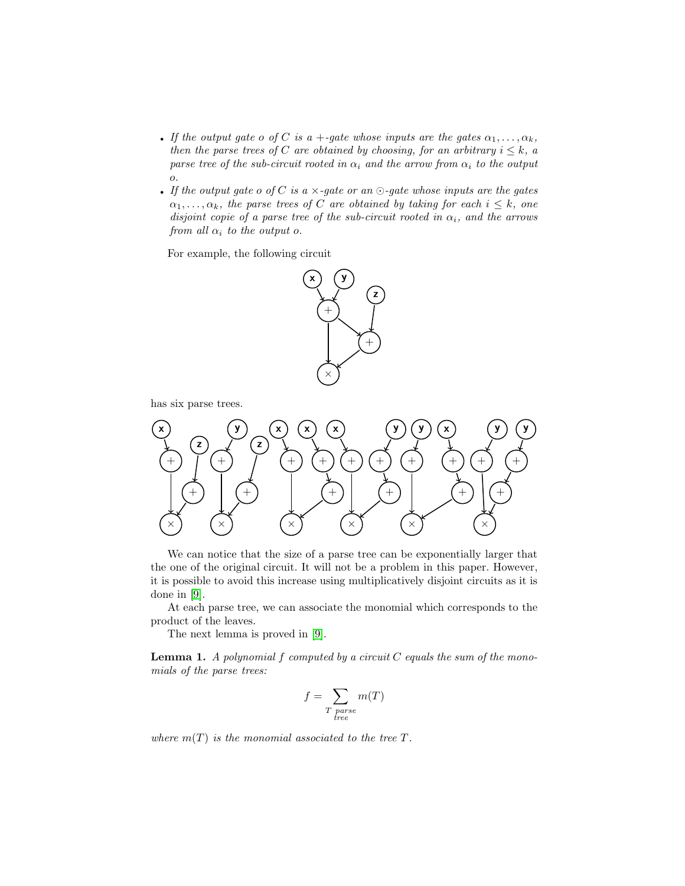- If the output gate o of C is a +-gate whose inputs are the gates  $\alpha_1, \ldots, \alpha_k$ , then the parse trees of C are obtained by choosing, for an arbitrary  $i \leq k$ , a parse tree of the sub-circuit rooted in  $\alpha_i$  and the arrow from  $\alpha_i$  to the output o.
- If the output gate o of C is a  $\times$ -gate or an  $\odot$ -gate whose inputs are the gates  $\alpha_1, \ldots, \alpha_k$ , the parse trees of C are obtained by taking for each  $i \leq k$ , one disjoint copie of a parse tree of the sub-circuit rooted in  $\alpha_i$ , and the arrows from all  $\alpha_i$  to the output o.

For example, the following circuit



has six parse trees.



We can notice that the size of a parse tree can be exponentially larger that the one of the original circuit. It will not be a problem in this paper. However, it is possible to avoid this increase using multiplicatively disjoint circuits as it is done in [\[9\]](#page-14-5).

At each parse tree, we can associate the monomial which corresponds to the product of the leaves.

The next lemma is proved in [\[9\]](#page-14-5).

**Lemma 1.** A polynomial  $f$  computed by a circuit  $C$  equals the sum of the monomials of the parse trees:

$$
f = \sum_{T \text{ parse}} m(T)
$$

where  $m(T)$  is the monomial associated to the tree T.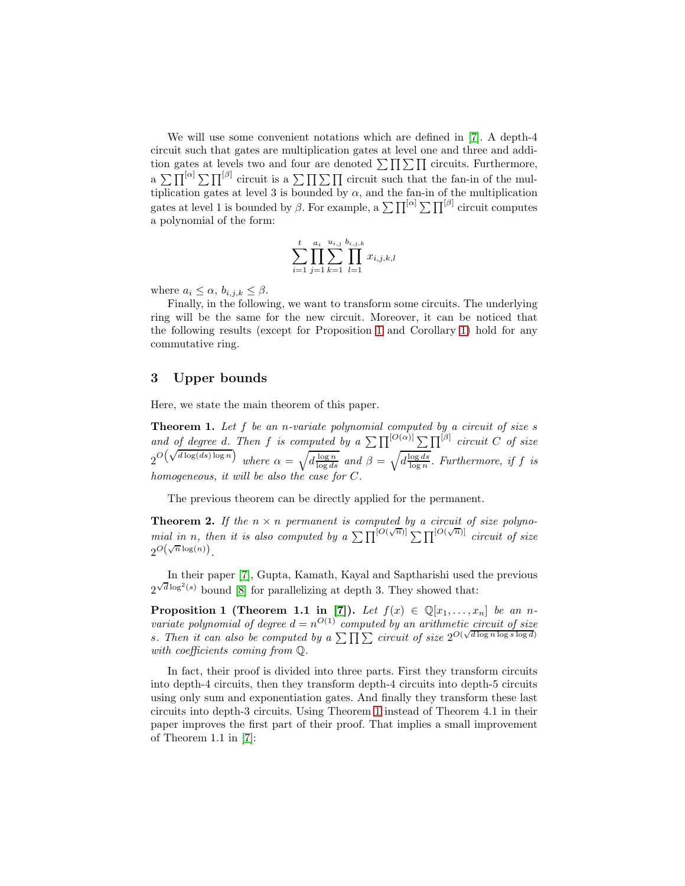We will use some convenient notations which are defined in [\[7\]](#page-14-1). A depth-4 circuit such that gates are multiplication gates at level one and three and addition gates at levels two and four are denoted  $\sum \prod \sum \prod$  circuits. Furthermore,  $\alpha \sum \prod^{[\alpha]} \sum \prod^{\beta]}$  circuit is a  $\sum \prod \sum \prod$  circuit such that the fan-in of the multiplication gates at level 3 is bounded by  $\alpha$ , and the fan-in of the multiplication gates at level 1 is bounded by  $\beta$ . For example, a  $\sum \prod^{[\alpha]} \sum \prod^{[\beta]}$  circuit computes a polynomial of the form:

$$
\sum_{i=1}^{t} \prod_{j=1}^{a_i} \sum_{k=1}^{u_{i,j}} \prod_{l=1}^{b_{i,j,k}} x_{i,j,k,l}
$$

where  $a_i \leq \alpha$ ,  $b_{i,j,k} \leq \beta$ .

Finally, in the following, we want to transform some circuits. The underlying ring will be the same for the new circuit. Moreover, it can be noticed that the following results (except for Proposition [1](#page-4-0) and Corollary [1\)](#page-4-1) hold for any commutative ring.

## 3 Upper bounds

<span id="page-4-2"></span>Here, we state the main theorem of this paper.

**Theorem 1.** Let  $f$  be an n-variate polynomial computed by a circuit of size  $s$ and of degree d. Then f is computed by a  $\sum \prod^{[O(\alpha)]} \sum \prod^{[\beta]}$  circuit C of size  $2^{O\left(\sqrt{\frac{d \log n}{\log(ds) \log n}}\right)}$  where  $\alpha = \sqrt{\frac{d \log n}{\log ds}}$  and  $\beta = \sqrt{\frac{\log ds}{\log n}}$ . Furthermore, if f is homogeneous, it will be also the case for C.

<span id="page-4-0"></span>The previous theorem can be directly applied for the permanent.

**Theorem 2.** If the  $n \times n$  permanent is computed by a circuit of size polynomial in n, then it is also computed by a  $\sum \prod^{[O(\sqrt{n})]} \sum \prod^{[O(\sqrt{n})]}$  circuit of size  $2^{O(\sqrt{n}\log(n))}$ .

In their paper [\[7\]](#page-14-1), Gupta, Kamath, Kayal and Saptharishi used the previous  $2^{\sqrt{d}\log^2(s)}$  bound [\[8\]](#page-14-0) for parallelizing at depth 3. They showed that:

**Proposition 1 (Theorem 1.1 in [\[7\]](#page-14-1)).** Let  $f(x) \in \mathbb{Q}[x_1, \ldots, x_n]$  be an nvariate polynomial of degree  $d = n^{O(1)}$  computed by an arithmetic circuit of size s. Then it can also be computed by a  $\sum \prod_{i=1}^{n}$  circuit of size  $2^{O(\sqrt{d \log n \log s} \log d)}$ with coefficients coming from  $\mathbb{Q}$ .

<span id="page-4-1"></span>In fact, their proof is divided into three parts. First they transform circuits into depth-4 circuits, then they transform depth-4 circuits into depth-5 circuits using only sum and exponentiation gates. And finally they transform these last circuits into depth-3 circuits. Using Theorem [1](#page-4-2) instead of Theorem 4.1 in their paper improves the first part of their proof. That implies a small improvement of Theorem 1.1 in [\[7\]](#page-14-1):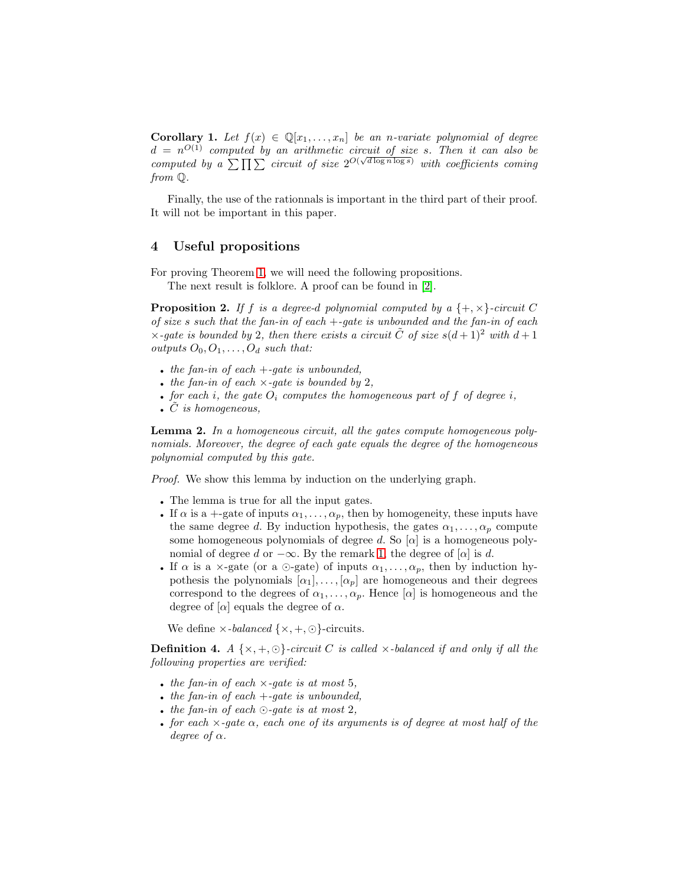**Corollary 1.** Let  $f(x) \in \mathbb{Q}[x_1, \ldots, x_n]$  be an n-variate polynomial of degree  $d = n^{O(1)}$  computed by an arithmetic circuit of size s. Then it can also be computed by a  $\sum \prod \sum$  circuit of size  $2^{O(\sqrt{d \log n} \log s)}$  with coefficients coming from Q.

Finally, the use of the rationnals is important in the third part of their proof. It will not be important in this paper.

### 4 Useful propositions

<span id="page-5-0"></span>For proving Theorem [1,](#page-4-2) we will need the following propositions.

The next result is folklore. A proof can be found in [\[2\]](#page-13-1).

**Proposition 2.** If f is a degree-d polynomial computed by a  $\{+, \times\}$ -circuit C of size s such that the fan-in of each  $+$ -gate is unbounded and the fan-in of each  $\times$ -gate is bounded by 2, then there exists a circuit C of size  $s(d+1)^2$  with  $d+1$ outputs  $O_0, O_1, \ldots, O_d$  such that:

- the fan-in of each  $+$ -gate is unbounded,
- the fan-in of each  $\times$ -gate is bounded by 2,
- for each i, the gate  $O_i$  computes the homogeneous part of f of degree i,
- <span id="page-5-1"></span> $\bullet$   $\ddot{C}$  is homogeneous,

Lemma 2. In a homogeneous circuit, all the gates compute homogeneous polynomials. Moreover, the degree of each gate equals the degree of the homogeneous polynomial computed by this gate.

Proof. We show this lemma by induction on the underlying graph.

- The lemma is true for all the input gates.
- If  $\alpha$  is a +-gate of inputs  $\alpha_1, \ldots, \alpha_p$ , then by homogeneity, these inputs have the same degree d. By induction hypothesis, the gates  $\alpha_1, \ldots, \alpha_p$  compute some homogeneous polynomials of degree d. So  $[\alpha]$  is a homogeneous polynomial of degree d or  $-\infty$ . By the remark [1,](#page-2-0) the degree of [ $\alpha$ ] is d.
- If  $\alpha$  is a  $\times$ -gate (or a  $\odot$ -gate) of inputs  $\alpha_1, \ldots, \alpha_p$ , then by induction hypothesis the polynomials  $[\alpha_1], \ldots, [\alpha_p]$  are homogeneous and their degrees correspond to the degrees of  $\alpha_1, \ldots, \alpha_p$ . Hence  $[\alpha]$  is homogeneous and the degree of  $\alpha$  equals the degree of  $\alpha$ .

We define  $\times$ -balanced  $\{\times, +, \odot\}$ -circuits.

**Definition 4.** A  $\{x, +, \odot\}$ -circuit C is called  $x$ -balanced if and only if all the following properties are verified:

- the fan-in of each  $\times$ -gate is at most 5,
- the fan-in of each  $+$ -gate is unbounded,
- the fan-in of each  $\odot$ -gate is at most 2,
- for each  $\times$ -gate  $\alpha$ , each one of its arguments is of degree at most half of the degree of  $\alpha$ .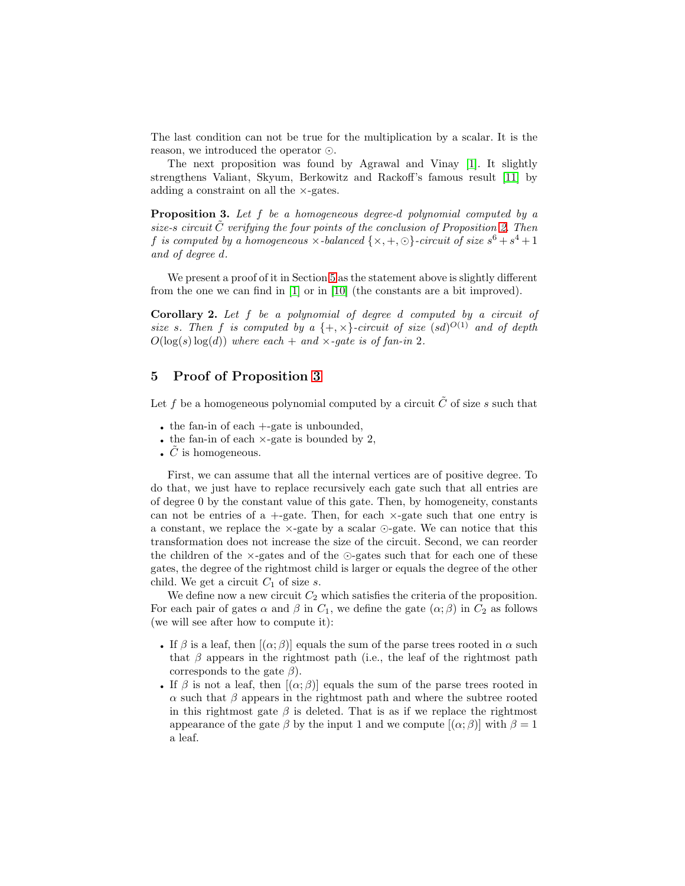The last condition can not be true for the multiplication by a scalar. It is the reason, we introduced the operator ⊙.

The next proposition was found by Agrawal and Vinay [\[1\]](#page-13-2). It slightly strengthens Valiant, Skyum, Berkowitz and Rackoff's famous result [\[11\]](#page-14-2) by adding a constraint on all the ×-gates.

<span id="page-6-1"></span>Proposition 3. Let f be a homogeneous degree-d polynomial computed by a size-s circuit  $\tilde{C}$  verifying the four points of the conclusion of Proposition [2.](#page-5-0) Then f is computed by a homogeneous  $\times$ -balanced  $\{\times, +, \odot\}$ -circuit of size  $s^6 + s^4 + 1$ and of degree d.

We present a proof of it in Section [5](#page-6-0) as the statement above is slightly different from the one we can find in [\[1\]](#page-13-2) or in [\[10\]](#page-14-4) (the constants are a bit improved).

**Corollary 2.** Let  $f$  be a polynomial of degree  $d$  computed by a circuit of size s. Then f is computed by a  $\{+, \times\}$ -circuit of size  $(sd)^{O(1)}$  and of depth  $O(\log(s) \log(d))$  where each + and  $\times$ -gate is of fan-in 2.

## <span id="page-6-0"></span>5 Proof of Proposition [3](#page-6-1)

Let f be a homogeneous polynomial computed by a circuit  $\tilde{C}$  of size s such that

- the fan-in of each  $+$ -gate is unbounded,
- the fan-in of each  $\times$ -gate is bounded by 2,
- $C$  is homogeneous.

First, we can assume that all the internal vertices are of positive degree. To do that, we just have to replace recursively each gate such that all entries are of degree 0 by the constant value of this gate. Then, by homogeneity, constants can not be entries of a  $+$ -gate. Then, for each  $\times$ -gate such that one entry is a constant, we replace the ×-gate by a scalar ⊙-gate. We can notice that this transformation does not increase the size of the circuit. Second, we can reorder the children of the  $\times$ -gates and of the ⊙-gates such that for each one of these gates, the degree of the rightmost child is larger or equals the degree of the other child. We get a circuit  $C_1$  of size s.

We define now a new circuit  $C_2$  which satisfies the criteria of the proposition. For each pair of gates  $\alpha$  and  $\beta$  in  $C_1$ , we define the gate  $(\alpha; \beta)$  in  $C_2$  as follows (we will see after how to compute it):

- If  $\beta$  is a leaf, then  $[(\alpha;\beta)]$  equals the sum of the parse trees rooted in  $\alpha$  such that  $\beta$  appears in the rightmost path (i.e., the leaf of the rightmost path corresponds to the gate  $\beta$ ).
- If  $\beta$  is not a leaf, then  $[(\alpha;\beta)]$  equals the sum of the parse trees rooted in  $\alpha$  such that  $\beta$  appears in the rightmost path and where the subtree rooted in this rightmost gate  $\beta$  is deleted. That is as if we replace the rightmost appearance of the gate  $\beta$  by the input 1 and we compute  $[(\alpha;\beta)]$  with  $\beta=1$ a leaf.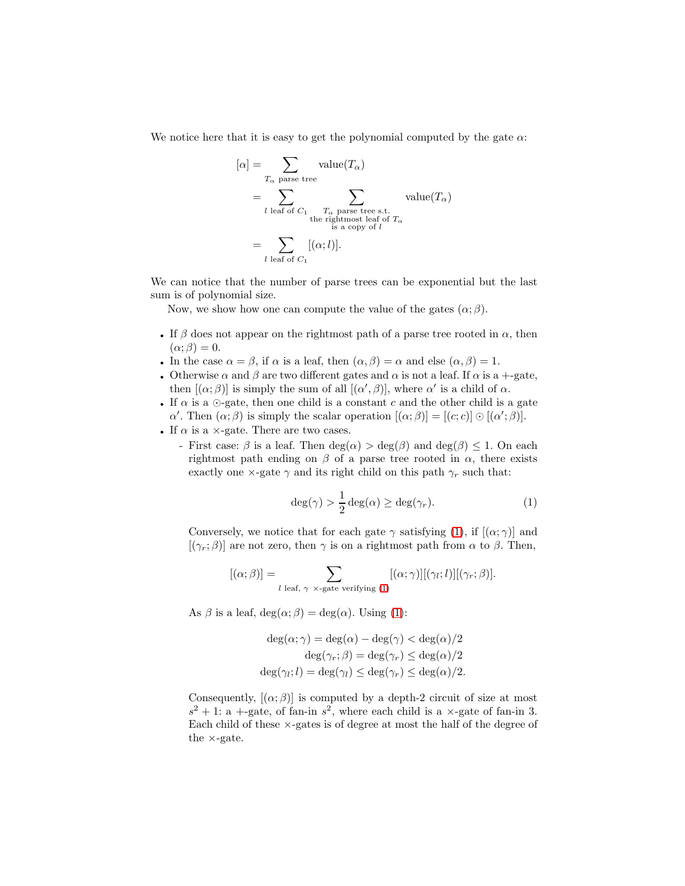We notice here that it is easy to get the polynomial computed by the gate  $\alpha$ :

$$
[\alpha] = \sum_{T_{\alpha \text{ parse tree}}}
$$
 value $(T_{\alpha})$   
= 
$$
\sum_{l \text{ leaf of } C_1} \sum_{\substack{T_{\alpha} \text{ parse tree s.t.} \\ \text{the rightmost leaf of } T_{\alpha} \\ \text{is a copy of } l}} \text{value}(T_{\alpha})
$$
  
= 
$$
\sum_{l \text{ leaf of } C_1} [(\alpha; l)].
$$

We can notice that the number of parse trees can be exponential but the last sum is of polynomial size.

Now, we show how one can compute the value of the gates  $(\alpha; \beta)$ .

- If  $\beta$  does not appear on the rightmost path of a parse tree rooted in  $\alpha$ , then  $(\alpha; \beta) = 0.$
- In the case  $\alpha = \beta$ , if  $\alpha$  is a leaf, then  $(\alpha, \beta) = \alpha$  and else  $(\alpha, \beta) = 1$ .
- Otherwise  $\alpha$  and  $\beta$  are two different gates and  $\alpha$  is not a leaf. If  $\alpha$  is a +-gate, then  $[(\alpha;\beta)]$  is simply the sum of all  $[(\alpha',\beta)]$ , where  $\alpha'$  is a child of  $\alpha$ .
- If  $\alpha$  is a  $\odot$ -gate, then one child is a constant c and the other child is a gate  $\alpha'$ . Then  $(\alpha; \beta)$  is simply the scalar operation  $[(\alpha; \beta)] = [(c, c)] \odot [(\alpha'; \beta)].$
- If  $\alpha$  is a  $\times$ -gate. There are two cases.
	- First case:  $\beta$  is a leaf. Then  $deg(\alpha) > deg(\beta)$  and  $deg(\beta) < 1$ . On each rightmost path ending on  $\beta$  of a parse tree rooted in  $\alpha$ , there exists exactly one  $\times\text{-gate}\ \gamma$  and its right child on this path  $\gamma_r$  such that:

<span id="page-7-0"></span>
$$
\deg(\gamma) > \frac{1}{2}\deg(\alpha) \ge \deg(\gamma_r). \tag{1}
$$

Conversely, we notice that for each gate  $\gamma$  satisfying [\(1\)](#page-7-0), if  $[(\alpha, \gamma)]$  and  $[(\gamma_r; \beta)]$  are not zero, then  $\gamma$  is on a rightmost path from  $\alpha$  to  $\beta$ . Then,

$$
[(\alpha;\beta)] = \sum_{l \text{ leaf}, \gamma \times \text{-gate verifying } (1)} [(\alpha;\gamma)][(\gamma_l;l)][(\gamma_r;\beta)].
$$

As  $\beta$  is a leaf,  $deg(\alpha; \beta) = deg(\alpha)$ . Using [\(1\)](#page-7-0):

$$
\deg(\alpha; \gamma) = \deg(\alpha) - \deg(\gamma) < \deg(\alpha)/2
$$
\n
$$
\deg(\gamma_r; \beta) = \deg(\gamma_r) \leq \deg(\alpha)/2
$$
\n
$$
\deg(\gamma_l; l) = \deg(\gamma_l) \leq \deg(\gamma_r) \leq \deg(\alpha)/2.
$$

Consequently,  $[(\alpha, \beta)]$  is computed by a depth-2 circuit of size at most  $s^2 + 1$ : a +-gate, of fan-in  $s^2$ , where each child is a  $\times$ -gate of fan-in 3. Each child of these ×-gates is of degree at most the half of the degree of the ×-gate.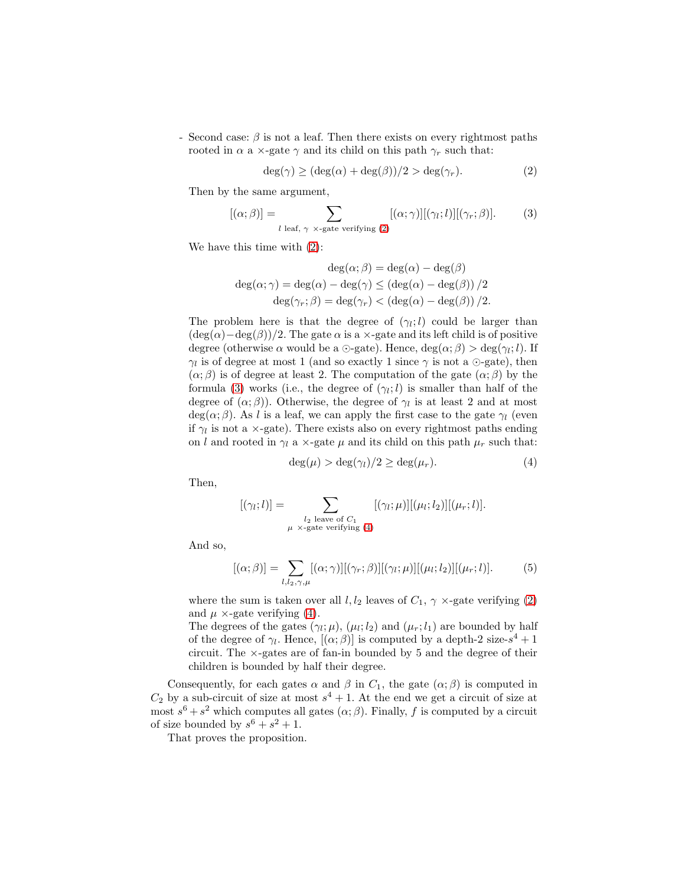- Second case:  $\beta$  is not a leaf. Then there exists on every rightmost paths rooted in  $\alpha$  a  $\times$ -gate  $\gamma$  and its child on this path  $\gamma_r$  such that:

<span id="page-8-1"></span><span id="page-8-0"></span>
$$
\deg(\gamma) \ge (\deg(\alpha) + \deg(\beta))/2 > \deg(\gamma_r). \tag{2}
$$

Then by the same argument,

$$
[(\alpha;\beta)] = \sum_{l \text{ leaf}, \gamma \times \text{-gate verifying } (2)} [(\alpha;\gamma)][(\gamma_l;l)][(\gamma_r;\beta)]. \tag{3}
$$

We have this time with [\(2\)](#page-8-0):

$$
\deg(\alpha; \beta) = \deg(\alpha) - \deg(\beta)
$$

$$
\deg(\alpha; \gamma) = \deg(\alpha) - \deg(\gamma) \le (\deg(\alpha) - \deg(\beta))/2
$$

$$
\deg(\gamma_r; \beta) = \deg(\gamma_r) < (\deg(\alpha) - \deg(\beta))/2.
$$

The problem here is that the degree of  $(\gamma_i; l)$  could be larger than  $(\deg(\alpha)-\deg(\beta))/2$ . The gate  $\alpha$  is a ×-gate and its left child is of positive degree (otherwise  $\alpha$  would be a  $\odot$ -gate). Hence,  $\deg(\alpha;\beta) > \deg(\gamma_l;l)$ . If  $\gamma_l$  is of degree at most 1 (and so exactly 1 since  $\gamma$  is not a  $\odot$ -gate), then  $(\alpha;\beta)$  is of degree at least 2. The computation of the gate  $(\alpha;\beta)$  by the formula [\(3\)](#page-8-1) works (i.e., the degree of  $(\gamma_l; l)$  is smaller than half of the degree of  $(\alpha;\beta)$ ). Otherwise, the degree of  $\gamma<sub>l</sub>$  is at least 2 and at most  $deg(\alpha;\beta)$ . As l is a leaf, we can apply the first case to the gate  $\gamma_l$  (even if  $\gamma_l$  is not a  $\times$ -gate). There exists also on every rightmost paths ending on l and rooted in  $\gamma_l$  a  $\times$ -gate  $\mu$  and its child on this path  $\mu_r$  such that:

<span id="page-8-2"></span>
$$
\deg(\mu) > \deg(\gamma_l)/2 \ge \deg(\mu_r). \tag{4}
$$

Then,

$$
[(\gamma_l;l)] = \sum_{\substack{l_2 \text{ leave of } C_1 \\ \mu \times \text{-gate verifying (4)}} [(\gamma_l;\mu)][(\mu_l;l_2)][(\mu_r;l)].
$$

And so,

$$
[(\alpha;\beta)] = \sum_{l,l_2,\gamma,\mu} [(\alpha;\gamma)][(\gamma_r;\beta)][(\gamma_l;\mu)][(\mu_l;l_2)][(\mu_r;l)]. \qquad (5)
$$

where the sum is taken over all  $l, l_2$  leaves of  $C_1$ ,  $\gamma \times$ -gate verifying [\(2\)](#page-8-0) and  $\mu \times$ -gate verifying [\(4\)](#page-8-2).

The degrees of the gates  $(\gamma_l; \mu)$ ,  $(\mu_l; l_2)$  and  $(\mu_r; l_1)$  are bounded by half of the degree of  $\gamma_l$ . Hence,  $[(\alpha;\beta)]$  is computed by a depth-2 size- $s^4 + 1$ circuit. The ×-gates are of fan-in bounded by 5 and the degree of their children is bounded by half their degree.

Consequently, for each gates  $\alpha$  and  $\beta$  in  $C_1$ , the gate  $(\alpha; \beta)$  is computed in  $C_2$  by a sub-circuit of size at most  $s^4 + 1$ . At the end we get a circuit of size at most  $s^6 + s^2$  which computes all gates  $(\alpha; \beta)$ . Finally, f is computed by a circuit of size bounded by  $s^6 + s^2 + 1$ .

That proves the proposition.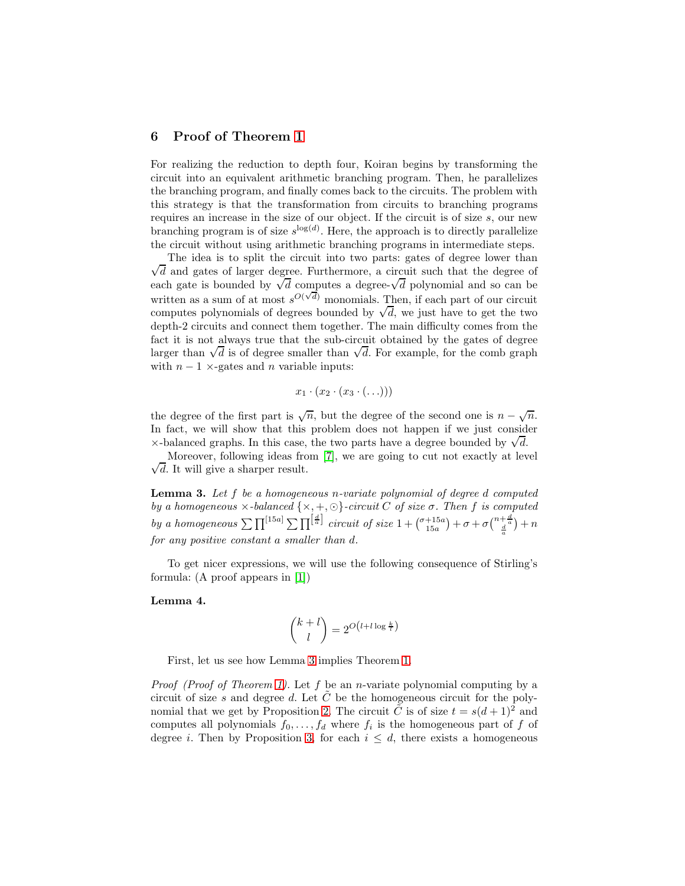### <span id="page-9-2"></span>6 Proof of Theorem [1](#page-4-2)

For realizing the reduction to depth four, Koiran begins by transforming the circuit into an equivalent arithmetic branching program. Then, he parallelizes the branching program, and finally comes back to the circuits. The problem with this strategy is that the transformation from circuits to branching programs requires an increase in the size of our object. If the circuit is of size s, our new branching program is of size  $s^{\log(d)}$ . Here, the approach is to directly parallelize the circuit without using arithmetic branching programs in intermediate steps.

 $\sqrt{d}$  and gates of larger degree. Furthermore, a circuit such that the degree of The idea is to split the circuit into two parts: gates of degree lower than each gate is bounded by  $\sqrt{d}$  computes a degree- $\sqrt{d}$  polynomial and so can be written as a sum of at most  $s^{O(\sqrt{d})}$  monomials. Then, if each part of our circuit computes polynomials of degrees bounded by  $\sqrt{d}$ , we just have to get the two depth-2 circuits and connect them together. The main difficulty comes from the fact it is not always true that the sub-circuit obtained by the gates of degree larger than  $\sqrt{d}$  is of degree smaller than  $\sqrt{d}$ . For example, for the comb graph with  $n - 1$  ×-gates and n variable inputs:

$$
x_1\cdot(x_2\cdot(x_3\cdot(\ldots)))
$$

the degree of the first part is  $\sqrt{n}$ , but the degree of the second one is  $n - \sqrt{n}$ . In fact, we will show that this problem does not happen if we just consider  $\times$ -balanced graphs. In this case, the two parts have a degree bounded by  $\sqrt{d}$ .

<span id="page-9-0"></span> $\sqrt{d}$ . It will give a sharper result. Moreover, following ideas from [\[7\]](#page-14-1), we are going to cut not exactly at level

**Lemma 3.** Let  $f$  be a homogeneous n-variate polynomial of degree  $d$  computed by a homogeneous  $\times$ -balanced  $\{\times, +, \odot\}$ -circuit C of size  $\sigma$ . Then f is computed by a homogeneous  $\sum \prod^{[15a]} \sum \prod^{[\frac{d}{a}]}$  circuit of size  $1 + {\binom{\sigma+15a}{15a}} + \sigma + \sigma {\binom{n+\frac{d}{a}}{\frac{d}{a}}} + n$ for any positive constant a smaller than d.

<span id="page-9-1"></span>To get nicer expressions, we will use the following consequence of Stirling's formula: (A proof appears in [\[1\]](#page-13-2))

#### Lemma 4.

$$
\binom{k+l}{l} = 2^{O\left(l+l\log\frac{k}{l}\right)}
$$

First, let us see how Lemma [3](#page-9-0) implies Theorem [1.](#page-4-2)

*Proof (Proof of Theorem [1\)](#page-4-2).* Let f be an *n*-variate polynomial computing by a circuit of size s and degree d. Let  $C$  be the homogeneous circuit for the poly-nomial that we get by Proposition [2.](#page-5-0) The circuit  $\tilde{C}$  is of size  $t = s(d+1)^2$  and computes all polynomials  $f_0, \ldots, f_d$  where  $f_i$  is the homogeneous part of f of degree *i*. Then by Proposition [3,](#page-6-1) for each  $i \leq d$ , there exists a homogeneous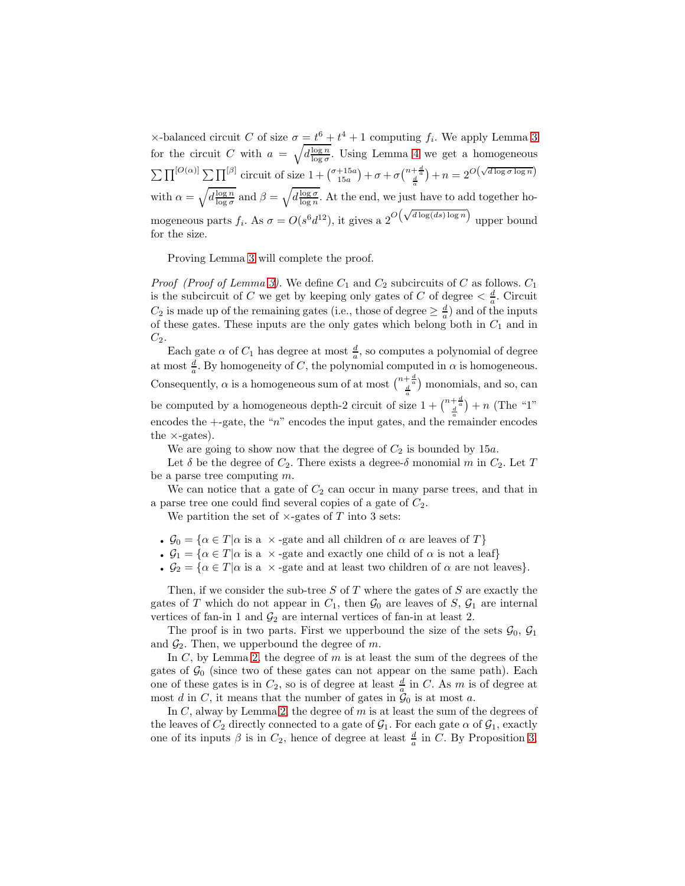$\times$ -balanced circuit C of size  $\sigma = t^6 + t^4 + 1$  computing  $f_i$ . We apply Lemma [3](#page-9-0) for the circuit C with  $a = \sqrt{d \frac{\log n}{\log \sigma}}$ . Using Lemma [4](#page-9-1) we get a homogeneous  $\sum \prod^{[O(\alpha)]} \sum \prod^{[\beta]}$  circuit of size  $1 + {\binom{\sigma+15a}{15a}} + \sigma + \sigma {\binom{n+\frac{d}{a}}{\frac{d}{a}}} + n = 2^{O(\sqrt{d \log \sigma \log n}})$ with  $\alpha = \sqrt{d \frac{\log n}{\log \sigma}}$  and  $\beta = \sqrt{d \frac{\log \sigma}{\log n}}$ . At the end, we just have to add together homogeneous parts  $f_i$ . As  $\sigma = O(s^6 d^{12})$ , it gives a  $2^{O(\sqrt{d \log(ds) \log n}})$  upper bound for the size.

Proving Lemma [3](#page-9-0) will complete the proof.

*Proof (Proof of Lemma [3\)](#page-9-0).* We define  $C_1$  and  $C_2$  subcircuits of C as follows.  $C_1$ is the subcircuit of C we get by keeping only gates of C of degree  $\langle \frac{d}{a} \rangle$ . Circuit  $C_2$  is made up of the remaining gates (i.e., those of degree  $\geq \frac{d}{a}$ ) and of the inputs of these gates. These inputs are the only gates which belong both in  $C_1$  and in  $C_2$ .

Each gate  $\alpha$  of  $C_1$  has degree at most  $\frac{d}{a}$ , so computes a polynomial of degree at most  $\frac{d}{a}$ . By homogeneity of C, the polynomial computed in  $\alpha$  is homogeneous. Consequently,  $\alpha$  is a homogeneous sum of at most  $\binom{n+\frac{d}{a}}{\frac{d}{a}}$  monomials, and so, can be computed by a homogeneous depth-2 circuit of size  $1 + {n + \frac{d}{d} \choose \frac{d}{d}} + n$  (The "1" encodes the  $+$ -gate, the "n" encodes the input gates, and the remainder encodes the  $\times$ -gates).

We are going to show now that the degree of  $C_2$  is bounded by 15a.

Let  $\delta$  be the degree of  $C_2$ . There exists a degree- $\delta$  monomial m in  $C_2$ . Let T be a parse tree computing m.

We can notice that a gate of  $C_2$  can occur in many parse trees, and that in a parse tree one could find several copies of a gate of  $C_2$ .

We partition the set of  $\times$ -gates of T into 3 sets:

- $\mathcal{G}_0 = \{ \alpha \in T | \alpha \text{ is a } \times \text{-gate and all children of } \alpha \text{ are leaves of } T \}$
- $\mathcal{G}_1 = {\alpha \in T | \alpha \text{ is a } \times \text{-gate and exactly one child of } \alpha \text{ is not a leaf}}$
- $\mathcal{G}_2 = {\alpha \in T | \alpha \text{ is a } \times \text{-gate and at least two children of } \alpha \text{ are not leaves}}.$

Then, if we consider the sub-tree  $S$  of  $T$  where the gates of  $S$  are exactly the gates of T which do not appear in  $C_1$ , then  $\mathcal{G}_0$  are leaves of S,  $\mathcal{G}_1$  are internal vertices of fan-in 1 and  $\mathcal{G}_2$  are internal vertices of fan-in at least 2.

The proof is in two parts. First we upperbound the size of the sets  $\mathcal{G}_0$ ,  $\mathcal{G}_1$ and  $\mathcal{G}_2$ . Then, we upperbound the degree of m.

In  $C$ , by Lemma [2,](#page-5-1) the degree of  $m$  is at least the sum of the degrees of the gates of  $\mathcal{G}_0$  (since two of these gates can not appear on the same path). Each one of these gates is in  $C_2$ , so is of degree at least  $\frac{d}{a}$  in C. As m is of degree at most d in C, it means that the number of gates in  $\mathcal{G}_0$  is at most a.

In  $C$ , alway by Lemma [2,](#page-5-1) the degree of  $m$  is at least the sum of the degrees of the leaves of  $C_2$  directly connected to a gate of  $\mathcal{G}_1$ . For each gate  $\alpha$  of  $\mathcal{G}_1$ , exactly one of its inputs  $\beta$  is in  $C_2$ , hence of degree at least  $\frac{d}{a}$  in C. By Proposition [3,](#page-6-1)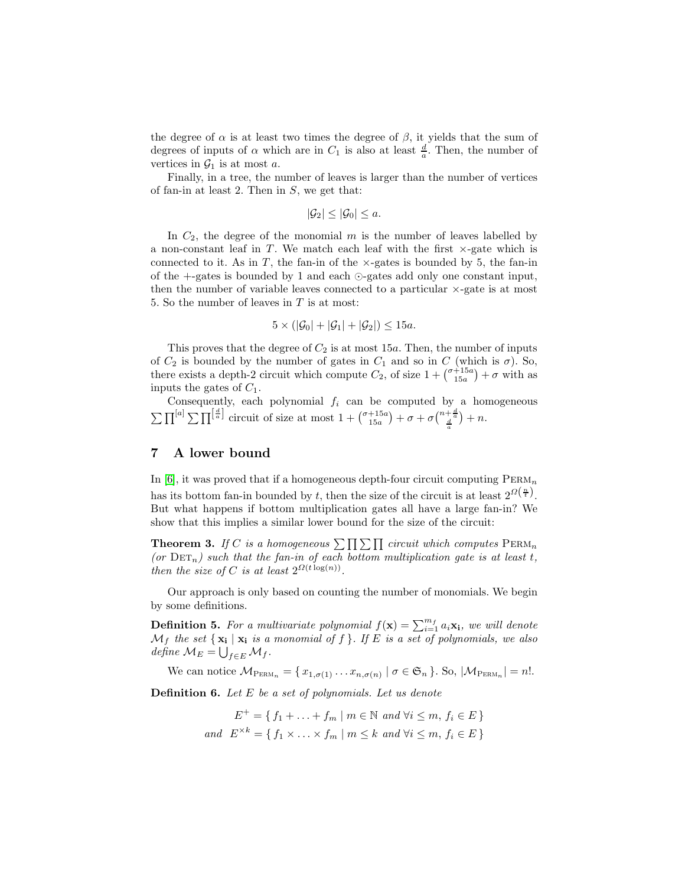the degree of  $\alpha$  is at least two times the degree of  $\beta$ , it yields that the sum of degrees of inputs of  $\alpha$  which are in  $C_1$  is also at least  $\frac{d}{a}$ . Then, the number of vertices in  $\mathcal{G}_1$  is at most a.

Finally, in a tree, the number of leaves is larger than the number of vertices of fan-in at least 2. Then in  $S$ , we get that:

$$
|\mathcal{G}_2| \leq |\mathcal{G}_0| \leq a.
$$

In  $C_2$ , the degree of the monomial m is the number of leaves labelled by a non-constant leaf in  $T$ . We match each leaf with the first  $\times$ -gate which is connected to it. As in T, the fan-in of the  $\times$ -gates is bounded by 5, the fan-in of the +-gates is bounded by 1 and each ⊙-gates add only one constant input, then the number of variable leaves connected to a particular  $\times$ -gate is at most 5. So the number of leaves in  $T$  is at most:

$$
5 \times (|\mathcal{G}_0| + |\mathcal{G}_1| + |\mathcal{G}_2|) \le 15a.
$$

This proves that the degree of  $C_2$  is at most 15a. Then, the number of inputs of  $C_2$  is bounded by the number of gates in  $C_1$  and so in C (which is  $\sigma$ ). So, there exists a depth-2 circuit which compute  $C_2$ , of size  $1 + {\binom{\sigma+15a}{15a}} + \sigma$  with as inputs the gates of  $C_1$ .

Consequently, each polynomial  $f_i$  can be computed by a homogeneous  $\sum \prod^{[a]} \sum \prod^{\left[\frac{d}{a}\right]}$  circuit of size at most  $1 + {\binom{\sigma+15a}{15a}} + \sigma + \sigma {\binom{n+\frac{d}{a}}{\frac{d}{a}}} + n$ .

#### <span id="page-11-0"></span>7 A lower bound

In  $[6]$ , it was proved that if a homogeneous depth-four circuit computing  $PERM_n$ has its bottom fan-in bounded by t, then the size of the circuit is at least  $2^{\Omega(\frac{n}{t})}$ . But what happens if bottom multiplication gates all have a large fan-in? We show that this implies a similar lower bound for the size of the circuit:

<span id="page-11-2"></span>**Theorem 3.** If C is a homogeneous  $\sum \prod \sum \prod$  circuit which computes  $\text{PERM}_n$ (or  $\mathrm{DET}_n$ ) such that the fan-in of each bottom multiplication gate is at least t, then the size of C is at least  $2^{\Omega(t \log(n))}$ .

Our approach is only based on counting the number of monomials. We begin by some definitions.

**Definition 5.** For a multivariate polynomial  $f(\mathbf{x}) = \sum_{i=1}^{m_f} a_i \mathbf{x_i}$ , we will denote  $\mathcal{M}_f$  the set  $\{x_i \mid x_i \text{ is a monomial of } f\}$ . If E is a set of polynomials, we also define  $\mathcal{M}_E = \bigcup_{f \in E} \mathcal{M}_f$ .

We can notice  $M_{\text{PERM}_n} = \{x_{1,\sigma(1)} \dots x_{n,\sigma(n)} \mid \sigma \in \mathfrak{S}_n\}$ . So,  $|M_{\text{PERM}_n}| = n!$ .

<span id="page-11-1"></span>Definition 6. Let E be a set of polynomials. Let us denote

 $E^+ = \{ f_1 + \ldots + f_m \mid m \in \mathbb{N} \text{ and } \forall i \leq m, f_i \in E \}$ and  $E^{\times k} = \{ f_1 \times \ldots \times f_m \mid m \leq k \text{ and } \forall i \leq m, f_i \in E \}$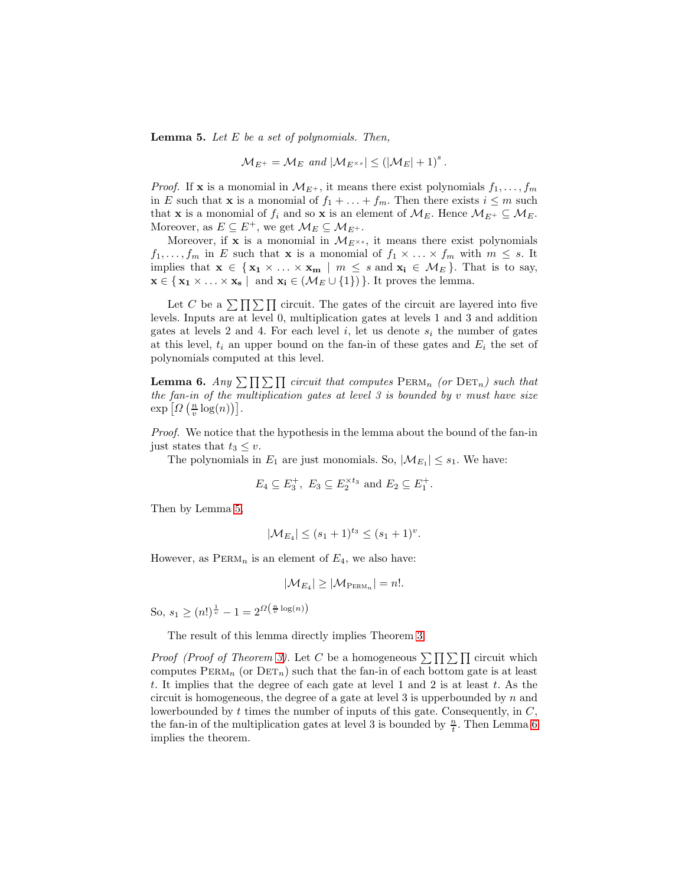**Lemma 5.** Let  $E$  be a set of polynomials. Then,

$$
\mathcal{M}_{E^+} = \mathcal{M}_E \text{ and } |\mathcal{M}_{E^{\times s}}| \leq (|\mathcal{M}_E| + 1)^s.
$$

*Proof.* If **x** is a monomial in  $\mathcal{M}_{E^+}$ , it means there exist polynomials  $f_1, \ldots, f_m$ in E such that **x** is a monomial of  $f_1 + \ldots + f_m$ . Then there exists  $i \leq m$  such that **x** is a monomial of  $f_i$  and so **x** is an element of  $\mathcal{M}_E$ . Hence  $\mathcal{M}_{E^+} \subseteq \mathcal{M}_E$ . Moreover, as  $E \subseteq E^+$ , we get  $\mathcal{M}_E \subseteq \mathcal{M}_{E^+}$ .

Moreover, if x is a monomial in  $\mathcal{M}_{E^{\times s}}$ , it means there exist polynomials  $f_1, \ldots, f_m$  in E such that **x** is a monomial of  $f_1 \times \ldots \times f_m$  with  $m \leq s$ . It implies that  $\mathbf{x} \in \{ \mathbf{x}_1 \times \ldots \times \mathbf{x}_m \mid m \leq s \text{ and } \mathbf{x}_i \in \mathcal{M}_E \}.$  That is to say,  $\mathbf{x} \in \{ \mathbf{x_1} \times \ldots \times \mathbf{x_s} \mid \text{ and } \mathbf{x_i} \in (\mathcal{M}_E \cup \{1\}) \}.$  It proves the lemma.

Let C be a  $\sum \prod \sum \prod$  circuit. The gates of the circuit are layered into five levels. Inputs are at level 0, multiplication gates at levels 1 and 3 and addition gates at levels 2 and 4. For each level  $i$ , let us denote  $s_i$  the number of gates at this level,  $t_i$  an upper bound on the fan-in of these gates and  $E_i$  the set of polynomials computed at this level.

<span id="page-12-0"></span>**Lemma 6.** Any  $\sum \prod \sum \prod$  circuit that computes  $\text{PERM}_n$  (or  $\text{DET}_n$ ) such that the fan-in of the multiplication gates at level  $\beta$  is bounded by  $v$  must have size  $\exp\left[\Omega\left(\frac{n}{v}\log(n)\right)\right].$ 

Proof. We notice that the hypothesis in the lemma about the bound of the fan-in just states that  $t_3 \leq v$ .

The polynomials in  $E_1$  are just monomials. So,  $|\mathcal{M}_{E_1}| \leq s_1$ . We have:

$$
E_4 \subseteq E_3^+, E_3 \subseteq E_2^{\times t_3} \text{ and } E_2 \subseteq E_1^+.
$$

Then by Lemma [5,](#page-11-1)

$$
|\mathcal{M}_{E_4}| \le (s_1 + 1)^{t_3} \le (s_1 + 1)^v.
$$

However, as  $PERM_n$  is an element of  $E_4$ , we also have:

$$
|\mathcal{M}_{E_4}| \geq |\mathcal{M}_{\mathrm{PERM}_n}| = n!.
$$

So,  $s_1 \ge (n!)^{\frac{1}{v}} - 1 = 2^{\Omega(\frac{n}{v} \log(n))}$ 

The result of this lemma directly implies Theorem [3.](#page-11-2)

*Proof (Proof of Theorem [3\)](#page-11-2).* Let C be a homogeneous  $\sum \prod \sum \prod$  circuit which computes  $PERM_n$  (or  $DET_n)$  such that the fan-in of each bottom gate is at least t. It implies that the degree of each gate at level 1 and 2 is at least t. As the circuit is homogeneous, the degree of a gate at level 3 is upperbounded by  $n$  and lowerbounded by t times the number of inputs of this gate. Consequently, in C, the fan-in of the multiplication gates at level 3 is bounded by  $\frac{n}{t}$ . Then Lemma [6](#page-12-0) implies the theorem.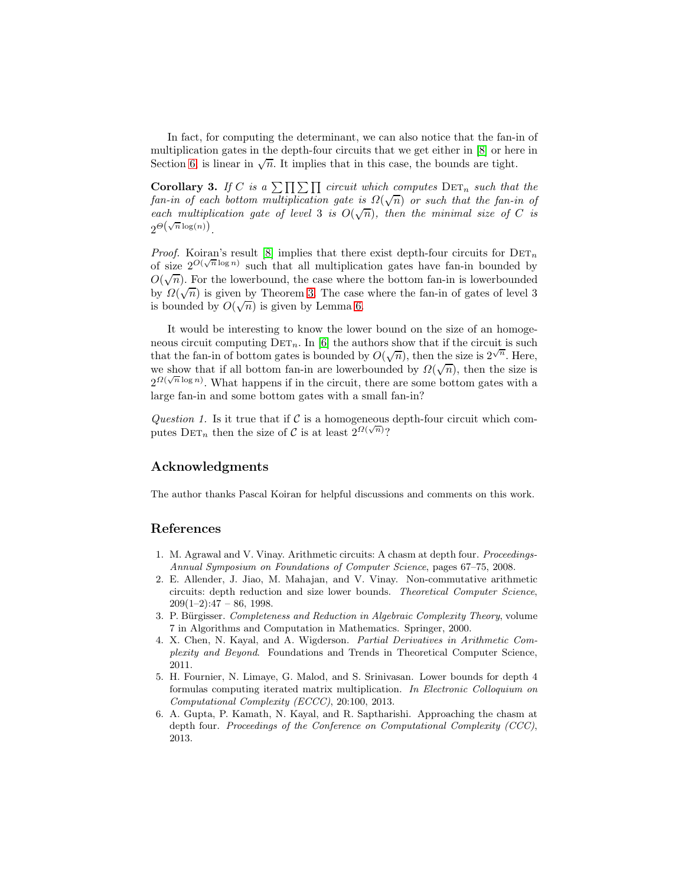In fact, for computing the determinant, we can also notice that the fan-in of multiplication gates in the depth-four circuits that we get either in [\[8\]](#page-14-0) or here in Section [6,](#page-9-2) is linear in  $\sqrt{n}$ . It implies that in this case, the bounds are tight.

**Corollary 3.** If C is a  $\sum \prod \sum \prod$  circuit which computes  $\text{DET}_n$  such that the fan-in of each bottom multiplication gate is  $\Omega(\sqrt{n})$  or such that the fan-in of each multiplication gate of level 3 is  $O(\sqrt{n})$ , then the minimal size of C is  $2^{\Theta(\sqrt{n}\log(n))}$ .

*Proof.* Koiran's result [\[8\]](#page-14-0) implies that there exist depth-four circuits for  $DET_n$ of size  $2^{O(\sqrt{n}\log n)}$  such that all multiplication gates have fan-in bounded by  $O(\sqrt{n})$ . For the lowerbound, the case where the bottom fan-in is lowerbounded by  $\Omega(\sqrt{n})$  is given by Theorem [3.](#page-11-2) The case where the fan-in of gates of level 3 is bounded by  $O(\sqrt{n})$  is given by Lemma [6.](#page-12-0)

It would be interesting to know the lower bound on the size of an homogeneous circuit computing  $DET_n$ . In [\[6\]](#page-13-0) the authors show that if the circuit is such that the fan-in of bottom gates is bounded by  $O(\sqrt{n})$ , then the size is  $2^{\sqrt{n}}$ . Here, we show that if all bottom fan-in are lowerbounded by  $\Omega(\sqrt{n})$ , then the size is  $2^{\Omega(\sqrt{n}\log n)}$ . What happens if in the circuit, there are some bottom gates with a large fan-in and some bottom gates with a small fan-in?

Question 1. Is it true that if  $\mathcal C$  is a homogeneous depth-four circuit which computes  $\mathrm{DET}_n$  then the size of C is at least  $2^{\Omega(\sqrt{n})}$ ?

## Acknowledgments

The author thanks Pascal Koiran for helpful discussions and comments on this work.

### References

- <span id="page-13-2"></span>1. M. Agrawal and V. Vinay. Arithmetic circuits: A chasm at depth four. Proceedings-Annual Symposium on Foundations of Computer Science, pages 67–75, 2008.
- <span id="page-13-1"></span>2. E. Allender, J. Jiao, M. Mahajan, and V. Vinay. Non-commutative arithmetic circuits: depth reduction and size lower bounds. Theoretical Computer Science,  $209(1-2):47 - 86, 1998.$
- <span id="page-13-4"></span>3. P. Bürgisser. Completeness and Reduction in Algebraic Complexity Theory, volume 7 in Algorithms and Computation in Mathematics. Springer, 2000.
- <span id="page-13-5"></span>4. X. Chen, N. Kayal, and A. Wigderson. Partial Derivatives in Arithmetic Complexity and Beyond. Foundations and Trends in Theoretical Computer Science, 2011.
- <span id="page-13-3"></span>5. H. Fournier, N. Limaye, G. Malod, and S. Srinivasan. Lower bounds for depth 4 formulas computing iterated matrix multiplication. In Electronic Colloquium on Computational Complexity (ECCC), 20:100, 2013.
- <span id="page-13-0"></span>6. A. Gupta, P. Kamath, N. Kayal, and R. Saptharishi. Approaching the chasm at depth four. Proceedings of the Conference on Computational Complexity (CCC), 2013.